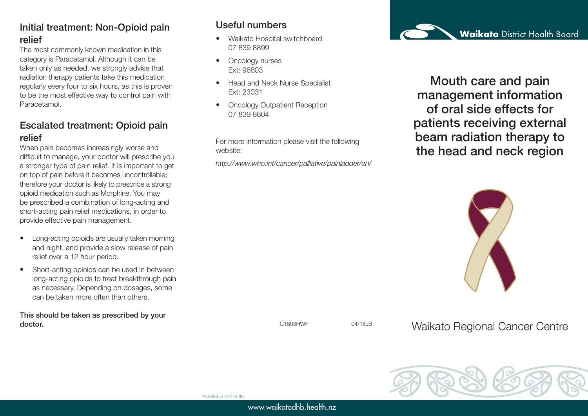## Initial treatment: Non-Opioid pain relief

The most commonly known medication in this category is Paracetamol. Although it can be taken only as needed, we strongly advise that radiation therapy patients take this medication regularly every four to six hours, as this is proven to be the most effective way to control pain with Paracetamol.

### Escalated treatment: Opioid pain relief

When pain becomes increasingly worse and difficult to manage, your doctor will prescribe you a stronger type of pain relief. It is important to get on top of pain before it becomes uncontrollable; therefore your doctor is likely to prescribe a strong opioid medication such as Morphine. You may be prescribed a combination of long-acting and short-acting pain relief medications, in order to provide effective pain management.

- Long-acting opioids are usually taken morning and night, and provide a slow release of pain relief over a 12 hour period.
- Short-acting opioids can be used in between long-acting opioids to treat breakthrough pain as necessary. Depending on dosages, some can be taken more often than others.

This should be taken as prescribed by your doctor.

# Useful numbers

- Waikato Hospital switchboard 07 839 8899
- Oncology nurses Ext: 96803
- Head and Neck Nurse Specialist Ext: 23031
- Oncology Outpatient Reception 07 839 8604

For more information please visit the following website:

*http://www.who.int/cancer/palliative/painladder/en/*



Mouth care and pain management information of oral side effects for patients receiving external beam radiation therapy to the head and neck region



C1803HWF 04/18JB

Waikato Regional Cancer Centre



WDHBDLES 07/18 JRB